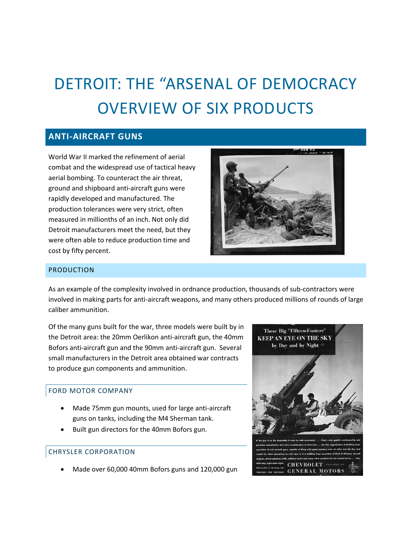# DETROIT: THE "ARSENAL OF DEMOCRACY OVERVIEW OF SIX PRODUCTS

# **ANTI-AIRCRAFT GUNS**

World War II marked the refinement of aerial combat and the widespread use of tactical heavy aerial bombing. To counteract the air threat, ground and shipboard anti-aircraft guns were rapidly developed and manufactured. The production tolerances were very strict, often measured in millionths of an inch. Not only did Detroit manufacturers meet the need, but they were often able to reduce production time and cost by fifty percent.



#### PRODUCTION

As an example of the complexity involved in ordnance production, thousands of sub-contractors were involved in making parts for anti-aircraft weapons, and many others produced millions of rounds of large caliber ammunition.

Of the many guns built for the war, three models were built by in the Detroit area: the 20mm Oerlikon anti-aircraft gun, the 40mm Bofors anti-aircraft gun and the 90mm anti-aircraft gun. Several small manufacturers in the Detroit area obtained war contracts to produce gun components and ammunition.

# FORD MOTOR COMPANY

- Made 75mm gun mounts, used for large anti-aircraft guns on tanks, including the M4 Sherman tank.
- Built gun directors for the 40mm Bofors gun.

# CHRYSLER CORPORATION

Made over 60,000 40mm Bofors guns and 120,000 gun

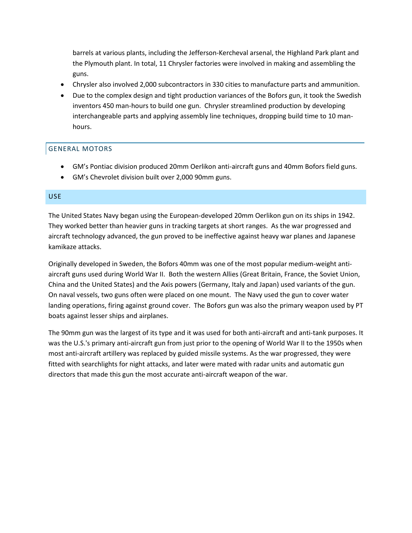barrels at various plants, including the Jefferson-Kercheval arsenal, the Highland Park plant and the Plymouth plant. In total, 11 Chrysler factories were involved in making and assembling the guns.

- Chrysler also involved 2,000 subcontractors in 330 cities to manufacture parts and ammunition.
- Due to the complex design and tight production variances of the Bofors gun, it took the Swedish inventors 450 man-hours to build one gun. Chrysler streamlined production by developing interchangeable parts and applying assembly line techniques, dropping build time to 10 manhours.

#### GENERAL MOTORS

- GM's Pontiac division produced 20mm Oerlikon anti-aircraft guns and 40mm Bofors field guns.
- GM's Chevrolet division built over 2,000 90mm guns.

#### USE

The United States Navy began using the European-developed 20mm Oerlikon gun on its ships in 1942. They worked better than heavier guns in tracking targets at short ranges. As the war progressed and aircraft technology advanced, the gun proved to be ineffective against heavy war planes and Japanese kamikaze attacks.

Originally developed in Sweden, the Bofors 40mm was one of the most popular medium-weight antiaircraft guns used during World War II. Both the western Allies (Great Britain, France, the Soviet Union, China and the United States) and the Axis powers (Germany, Italy and Japan) used variants of the gun. On naval vessels, two guns often were placed on one mount. The Navy used the gun to cover water landing operations, firing against ground cover. The Bofors gun was also the primary weapon used by PT boats against lesser ships and airplanes.

The 90mm gun was the largest of its type and it was used for both anti-aircraft and anti-tank purposes. It was the U.S.'s primary anti-aircraft gun from just prior to the opening of World War II to the 1950s when most anti-aircraft artillery was replaced by guided missile systems. As the war progressed, they were fitted with searchlights for night attacks, and later were mated with radar units and automatic gun directors that made this gun the most accurate anti-aircraft weapon of the war.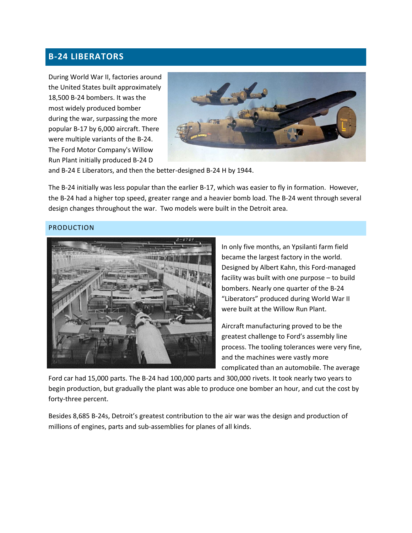# **B-24 LIBERATORS**

During World War II, factories around the United States built approximately 18,500 B-24 bombers. It was the most widely produced bomber during the war, surpassing the more popular B-17 by 6,000 aircraft. There were multiple variants of the B-24. The Ford Motor Company's Willow Run Plant initially produced B-24 D



and B-24 E Liberators, and then the better-designed B-24 H by 1944.

The B-24 initially was less popular than the earlier B-17, which was easier to fly in formation. However, the B-24 had a higher top speed, greater range and a heavier bomb load. The B-24 went through several design changes throughout the war. Two models were built in the Detroit area.

#### PRODUCTION



In only five months, an Ypsilanti farm field became the largest factory in the world. Designed by Albert Kahn, this Ford-managed facility was built with one purpose – to build bombers. Nearly one quarter of the B-24 "Liberators" produced during World War II were built at the Willow Run Plant.

Aircraft manufacturing proved to be the greatest challenge to Ford's assembly line process. The tooling tolerances were very fine, and the machines were vastly more complicated than an automobile. The average

Ford car had 15,000 parts. The B-24 had 100,000 parts and 300,000 rivets. It took nearly two years to begin production, but gradually the plant was able to produce one bomber an hour, and cut the cost by forty-three percent.

Besides 8,685 B-24s, Detroit's greatest contribution to the air war was the design and production of millions of engines, parts and sub-assemblies for planes of all kinds.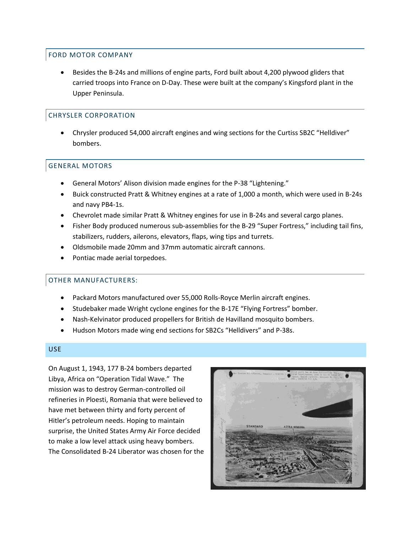#### FORD MOTOR COMPANY

 Besides the B-24s and millions of engine parts, Ford built about 4,200 plywood gliders that carried troops into France on D-Day. These were built at the company's Kingsford plant in the Upper Peninsula.

#### CHRYSLER CORPORATION

 Chrysler produced 54,000 aircraft engines and wing sections for the Curtiss SB2C "Helldiver" bombers.

# GENERAL MOTORS

- General Motors' Alison division made engines for the P-38 "Lightening."
- Buick constructed Pratt & Whitney engines at a rate of 1,000 a month, which were used in B-24s and navy PB4-1s.
- Chevrolet made similar Pratt & Whitney engines for use in B-24s and several cargo planes.
- Fisher Body produced numerous sub-assemblies for the B-29 "Super Fortress," including tail fins, stabilizers, rudders, ailerons, elevators, flaps, wing tips and turrets.
- Oldsmobile made 20mm and 37mm automatic aircraft cannons.
- Pontiac made aerial torpedoes.

#### OTHER MANUFACTURERS:

- Packard Motors manufactured over 55,000 Rolls-Royce Merlin aircraft engines.
- Studebaker made Wright cyclone engines for the B-17E "Flying Fortress" bomber.
- Nash-Kelvinator produced propellers for British de Havilland mosquito bombers.
- Hudson Motors made wing end sections for SB2Cs "Helldivers" and P-38s.

#### USE

On August 1, 1943, 177 B-24 bombers departed Libya, Africa on "Operation Tidal Wave." The mission was to destroy German-controlled oil refineries in Ploesti, Romania that were believed to have met between thirty and forty percent of Hitler's petroleum needs. Hoping to maintain surprise, the United States Army Air Force decided to make a low level attack using heavy bombers. The Consolidated B-24 Liberator was chosen for the

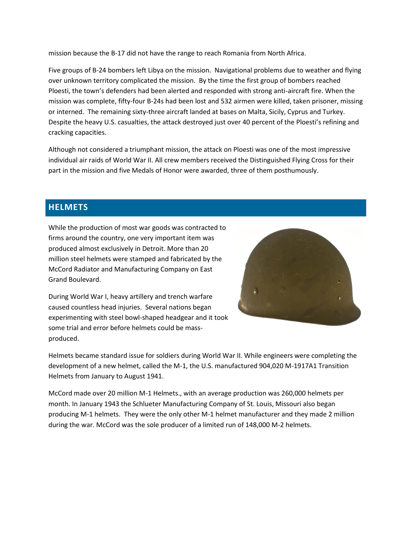mission because the B-17 did not have the range to reach Romania from North Africa.

Five groups of B-24 bombers left Libya on the mission. Navigational problems due to weather and flying over unknown territory complicated the mission. By the time the first group of bombers reached Ploesti, the town's defenders had been alerted and responded with strong anti-aircraft fire. When the mission was complete, fifty-four B-24s had been lost and 532 airmen were killed, taken prisoner, missing or interned. The remaining sixty-three aircraft landed at bases on Malta, Sicily, Cyprus and Turkey. Despite the heavy U.S. casualties, the attack destroyed just over 40 percent of the Ploesti's refining and cracking capacities.

Although not considered a triumphant mission, the attack on Ploesti was one of the most impressive individual air raids of World War II. All crew members received the Distinguished Flying Cross for their part in the mission and five Medals of Honor were awarded, three of them posthumously.

# **HELMETS**

While the production of most war goods was contracted to firms around the country, one very important item was produced almost exclusively in Detroit. More than 20 million steel helmets were stamped and fabricated by the McCord Radiator and Manufacturing Company on East Grand Boulevard.



During World War I, heavy artillery and trench warfare caused countless head injuries. Several nations began experimenting with steel bowl-shaped headgear and it took some trial and error before helmets could be massproduced.

Helmets became standard issue for soldiers during World War II. While engineers were completing the development of a new helmet, called the M-1, the U.S. manufactured 904,020 M-1917A1 Transition Helmets from January to August 1941.

McCord made over 20 million M-1 Helmets., with an average production was 260,000 helmets per month. In January 1943 the Schlueter Manufacturing Company of St. Louis, Missouri also began producing M-1 helmets. They were the only other M-1 helmet manufacturer and they made 2 million during the war. McCord was the sole producer of a limited run of 148,000 M-2 helmets.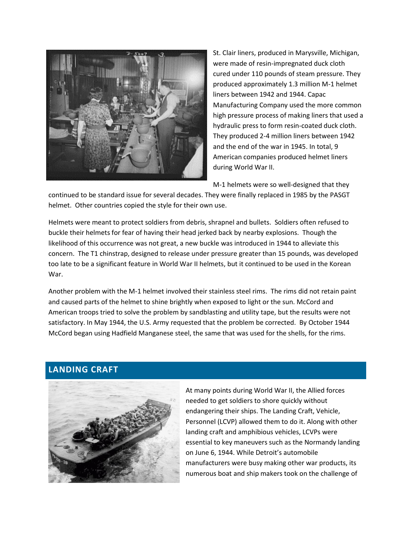

St. Clair liners, produced in Marysville, Michigan, were made of resin-impregnated duck cloth cured under 110 pounds of steam pressure. They produced approximately 1.3 million M-1 helmet liners between 1942 and 1944. Capac Manufacturing Company used the more common high pressure process of making liners that used a hydraulic press to form resin-coated duck cloth. They produced 2-4 million liners between 1942 and the end of the war in 1945. In total, 9 American companies produced helmet liners during World War II.

M-1 helmets were so well-designed that they

continued to be standard issue for several decades. They were finally replaced in 1985 by the PASGT helmet. Other countries copied the style for their own use.

Helmets were meant to protect soldiers from debris, shrapnel and bullets. Soldiers often refused to buckle their helmets for fear of having their head jerked back by nearby explosions. Though the likelihood of this occurrence was not great, a new buckle was introduced in 1944 to alleviate this concern. The T1 chinstrap, designed to release under pressure greater than 15 pounds, was developed too late to be a significant feature in World War II helmets, but it continued to be used in the Korean War.

Another problem with the M-1 helmet involved their stainless steel rims. The rims did not retain paint and caused parts of the helmet to shine brightly when exposed to light or the sun. McCord and American troops tried to solve the problem by sandblasting and utility tape, but the results were not satisfactory. In May 1944, the U.S. Army requested that the problem be corrected. By October 1944 McCord began using Hadfield Manganese steel, the same that was used for the shells, for the rims.

# **LANDING CRAFT**



At many points during World War II, the Allied forces needed to get soldiers to shore quickly without endangering their ships. The Landing Craft, Vehicle, Personnel (LCVP) allowed them to do it. Along with other landing craft and amphibious vehicles, LCVPs were essential to key maneuvers such as the Normandy landing on June 6, 1944. While Detroit's automobile manufacturers were busy making other war products, its numerous boat and ship makers took on the challenge of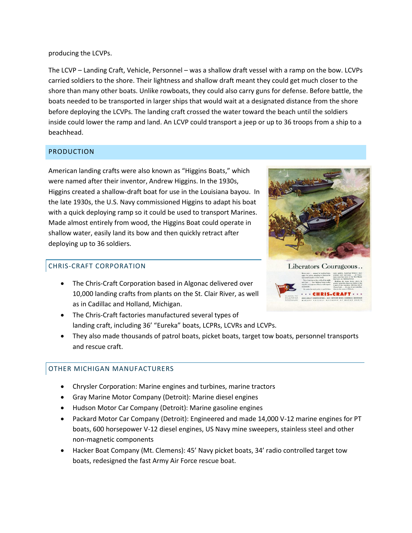producing the LCVPs.

The LCVP – Landing Craft, Vehicle, Personnel – was a shallow draft vessel with a ramp on the bow. LCVPs carried soldiers to the shore. Their lightness and shallow draft meant they could get much closer to the shore than many other boats. Unlike rowboats, they could also carry guns for defense. Before battle, the boats needed to be transported in larger ships that would wait at a designated distance from the shore before deploying the LCVPs. The landing craft crossed the water toward the beach until the soldiers inside could lower the ramp and land. An LCVP could transport a jeep or up to 36 troops from a ship to a beachhead.

#### PRODUCTION

American landing crafts were also known as "Higgins Boats," which were named after their inventor, Andrew Higgins. In the 1930s, Higgins created a shallow-draft boat for use in the Louisiana bayou. In the late 1930s, the U.S. Navy commissioned Higgins to adapt his boat with a quick deploying ramp so it could be used to transport Marines. Made almost entirely from wood, the Higgins Boat could operate in shallow water, easily land its bow and then quickly retract after deploying up to 36 soldiers.

# CHRIS-CRAFT CORPORATION

- The Chris-Craft Corporation based in Algonac delivered over 10,000 landing crafts from plants on the St. Clair River, as well as in Cadillac and Holland, Michigan.
- The Chris-Craft factories manufactured several types of landing craft, including 36' "Eureka" boats, LCPRs, LCVRs and LCVPs.
- They also made thousands of patrol boats, picket boats, target tow boats, personnel transports and rescue craft.

# OTHER MICHIGAN MANUFACTURERS

- Chrysler Corporation: Marine engines and turbines, marine tractors
- Gray Marine Motor Company (Detroit): Marine diesel engines
- Hudson Motor Car Company (Detroit): Marine gasoline engines
- Packard Motor Car Company (Detroit): Engineered and made 14,000 V-12 marine engines for PT boats, 600 horsepower V-12 diesel engines, US Navy mine sweepers, stainless steel and other non-magnetic components
- Hacker Boat Company (Mt. Clemens): 45' Navy picket boats, 34' radio controlled target tow boats, redesigned the fast Army Air Force rescue boat.



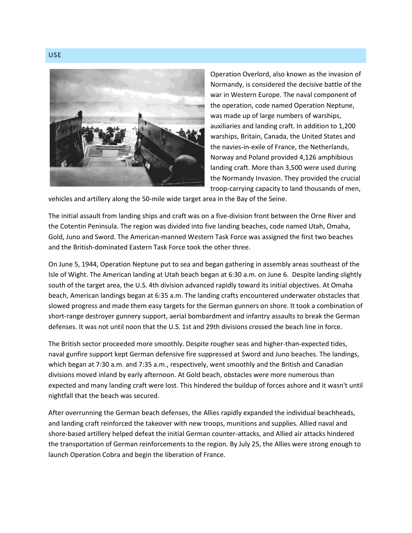

Operation Overlord, also known as the invasion of Normandy, is considered the decisive battle of the war in Western Europe. The naval component of the operation, code named Operation Neptune, was made up of large numbers of warships, auxiliaries and landing craft. In addition to 1,200 warships, Britain, Canada, the United States and the navies-in-exile of France, the Netherlands, Norway and Poland provided 4,126 amphibious landing craft. More than 3,500 were used during the Normandy Invasion. They provided the crucial troop-carrying capacity to land thousands of men,

vehicles and artillery along the 50-mile wide target area in the Bay of the Seine.

The initial assault from landing ships and craft was on a five-division front between the Orne River and the Cotentin Peninsula. The region was divided into five landing beaches, code named Utah, Omaha, Gold, Juno and Sword. The American-manned Western Task Force was assigned the first two beaches and the British-dominated Eastern Task Force took the other three.

On June 5, 1944, Operation Neptune put to sea and began gathering in assembly areas southeast of the Isle of Wight. The American landing at Utah beach began at 6:30 a.m. on June 6. Despite landing slightly south of the target area, the U.S. 4th division advanced rapidly toward its initial objectives. At Omaha beach, American landings began at 6:35 a.m. The landing crafts encountered underwater obstacles that slowed progress and made them easy targets for the German gunners on shore. It took a combination of short-range destroyer gunnery support, aerial bombardment and infantry assaults to break the German defenses. It was not until noon that the U.S. 1st and 29th divisions crossed the beach line in force.

The British sector proceeded more smoothly. Despite rougher seas and higher-than-expected tides, naval gunfire support kept German defensive fire suppressed at Sword and Juno beaches. The landings, which began at 7:30 a.m. and 7:35 a.m., respectively, went smoothly and the British and Canadian divisions moved inland by early afternoon. At Gold beach, obstacles were more numerous than expected and many landing craft were lost. This hindered the buildup of forces ashore and it wasn't until nightfall that the beach was secured.

After overrunning the German beach defenses, the Allies rapidly expanded the individual beachheads, and landing craft reinforced the takeover with new troops, munitions and supplies. Allied naval and shore-based artillery helped defeat the initial German counter-attacks, and Allied air attacks hindered the transportation of German reinforcements to the region. By July 25, the Allies were strong enough to launch Operation Cobra and begin the liberation of France.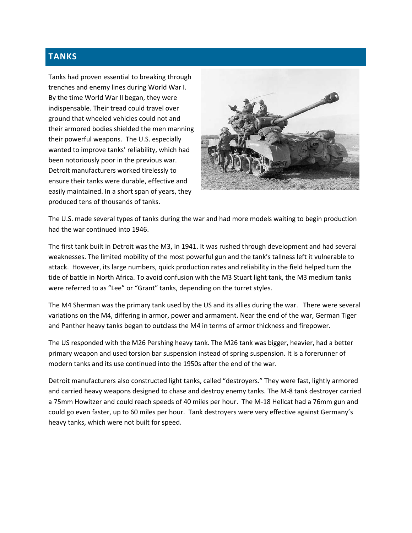# **TANKS**

Tanks had proven essential to breaking through trenches and enemy lines during World War I. By the time World War II began, they were indispensable. Their tread could travel over ground that wheeled vehicles could not and their armored bodies shielded the men manning their powerful weapons. The U.S. especially wanted to improve tanks' reliability, which had been notoriously poor in the previous war. Detroit manufacturers worked tirelessly to ensure their tanks were durable, effective and easily maintained. In a short span of years, they produced tens of thousands of tanks.



The U.S. made several types of tanks during the war and had more models waiting to begin production had the war continued into 1946.

The first tank built in Detroit was the M3, in 1941. It was rushed through development and had several weaknesses. The limited mobility of the most powerful gun and the tank's tallness left it vulnerable to attack. However, its large numbers, quick production rates and reliability in the field helped turn the tide of battle in North Africa. To avoid confusion with the M3 Stuart light tank, the M3 medium tanks were referred to as "Lee" or "Grant" tanks, depending on the turret styles.

The M4 Sherman was the primary tank used by the US and its allies during the war. There were several variations on the M4, differing in armor, power and armament. Near the end of the war, German Tiger and Panther heavy tanks began to outclass the M4 in terms of armor thickness and firepower.

The US responded with the M26 Pershing heavy tank. The M26 tank was bigger, heavier, had a better primary weapon and used torsion bar suspension instead of spring suspension. It is a forerunner of modern tanks and its use continued into the 1950s after the end of the war.

Detroit manufacturers also constructed light tanks, called "destroyers." They were fast, lightly armored and carried heavy weapons designed to chase and destroy enemy tanks. The M-8 tank destroyer carried a 75mm Howitzer and could reach speeds of 40 miles per hour. The M-18 Hellcat had a 76mm gun and could go even faster, up to 60 miles per hour. Tank destroyers were very effective against Germany's heavy tanks, which were not built for speed.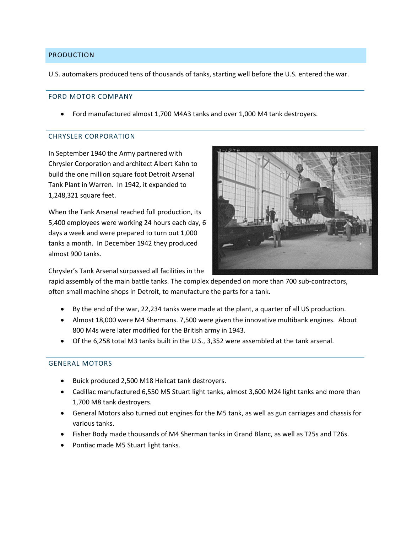#### PRODUCTION

U.S. automakers produced tens of thousands of tanks, starting well before the U.S. entered the war.

#### FORD MOTOR COMPANY

Ford manufactured almost 1,700 M4A3 tanks and over 1,000 M4 tank destroyers.

#### CHRYSLER CORPORATION

In September 1940 the Army partnered with Chrysler Corporation and architect Albert Kahn to build the one million square foot Detroit Arsenal Tank Plant in Warren. In 1942, it expanded to 1,248,321 square feet.

When the Tank Arsenal reached full production, its 5,400 employees were working 24 hours each day, 6 days a week and were prepared to turn out 1,000 tanks a month. In December 1942 they produced almost 900 tanks.



Chrysler's Tank Arsenal surpassed all facilities in the

rapid assembly of the main battle tanks. The complex depended on more than 700 sub-contractors, often small machine shops in Detroit, to manufacture the parts for a tank.

- By the end of the war, 22,234 tanks were made at the plant, a quarter of all US production.
- Almost 18,000 were M4 Shermans. 7,500 were given the innovative multibank engines. About 800 M4s were later modified for the British army in 1943.
- Of the 6,258 total M3 tanks built in the U.S., 3,352 were assembled at the tank arsenal.

# GENERAL MOTORS

- Buick produced 2,500 M18 Hellcat tank destroyers.
- Cadillac manufactured 6,550 M5 Stuart light tanks, almost 3,600 M24 light tanks and more than 1,700 M8 tank destroyers.
- General Motors also turned out engines for the M5 tank, as well as gun carriages and chassis for various tanks.
- Fisher Body made thousands of M4 Sherman tanks in Grand Blanc, as well as T25s and T26s.
- Pontiac made M5 Stuart light tanks.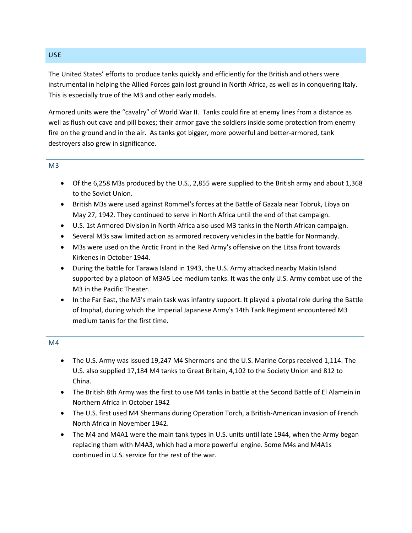# The United States' efforts to produce tanks quickly and efficiently for the British and others were instrumental in helping the Allied Forces gain lost ground in North Africa, as well as in conquering Italy. This is especially true of the M3 and other early models.

Armored units were the "cavalry" of World War II. Tanks could fire at enemy lines from a distance as well as flush out cave and pill boxes; their armor gave the soldiers inside some protection from enemy fire on the ground and in the air. As tanks got bigger, more powerful and better-armored, tank destroyers also grew in significance.

# M3

- Of the 6,258 M3s produced by the U.S., 2,855 were supplied to the British army and about 1,368 to the Soviet Union.
- British M3s were used against Rommel's forces at the Battle of Gazala near Tobruk, Libya on May 27, 1942. They continued to serve in North Africa until the end of that campaign.
- U.S. 1st Armored Division in North Africa also used M3 tanks in the North African campaign.
- Several M3s saw limited action as armored recovery vehicles in the battle for Normandy.
- M3s were used on the Arctic Front in the Red Army's offensive on the Litsa front towards Kirkenes in October 1944.
- During the battle for Tarawa Island in 1943, the U.S. Army attacked nearby Makin Island supported by a platoon of M3A5 Lee medium tanks. It was the only U.S. Army combat use of the M3 in the Pacific Theater.
- In the Far East, the M3's main task was infantry support. It played a pivotal role during the Battle of Imphal, during which the Imperial Japanese Army's 14th Tank Regiment encountered M3 medium tanks for the first time.

# M4

- The U.S. Army was issued 19,247 M4 Shermans and the U.S. Marine Corps received 1,114. The U.S. also supplied 17,184 M4 tanks to Great Britain, 4,102 to the Society Union and 812 to China.
- The British 8th Army was the first to use M4 tanks in battle at the Second Battle of El Alamein in Northern Africa in October 1942
- The U.S. first used M4 Shermans during Operation Torch, a British-American invasion of French North Africa in November 1942.
- The M4 and M4A1 were the main tank types in U.S. units until late 1944, when the Army began replacing them with M4A3, which had a more powerful engine. Some M4s and M4A1s continued in U.S. service for the rest of the war.

## USE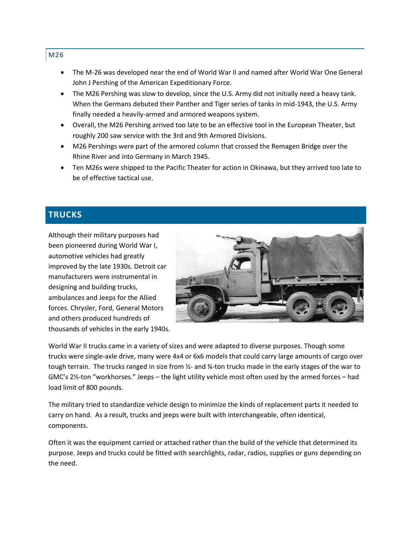- The M-26 was developed near the end of World War II and named after World War One General John J Pershing of the American Expeditionary Force.
- The M26 Pershing was slow to develop, since the U.S. Army did not initially need a heavy tank. When the Germans debuted their Panther and Tiger series of tanks in mid-1943, the U.S. Army finally needed a heavily-armed and armored weapons system.
- Overall, the M26 Pershing arrived too late to be an effective tool in the European Theater, but roughly 200 saw service with the 3rd and 9th Armored Divisions.
- M26 Pershings were part of the armored column that crossed the Remagen Bridge over the Rhine River and into Germany in March 1945.
- Ten M26s were shipped to the Pacific Theater for action in Okinawa, but they arrived too late to be of effective tactical use.

# **TRUCKS**

Although their military purposes had been pioneered during World War I, automotive vehicles had greatly improved by the late 1930s. Detroit car manufacturers were instrumental in designing and building trucks, ambulances and Jeeps for the Allied forces. Chrysler, Ford, General Motors and others produced hundreds of thousands of vehicles in the early 1940s.



World War II trucks came in a variety of sizes and were adapted to diverse purposes. Though some trucks were single-axle drive, many were 4x4 or 6x6 models that could carry large amounts of cargo over tough terrain. The trucks ranged in size from  $Y_2$ - and  $Y_4$ -ton trucks made in the early stages of the war to GMC's 2½-ton "workhorses." Jeeps – the light utility vehicle most often used by the armed forces – had load limit of 800 pounds.

The military tried to standardize vehicle design to minimize the kinds of replacement parts it needed to carry on hand. As a result, trucks and jeeps were built with interchangeable, often identical, components.

Often it was the equipment carried or attached rather than the build of the vehicle that determined its purpose. Jeeps and trucks could be fitted with searchlights, radar, radios, supplies or guns depending on the need.

## M26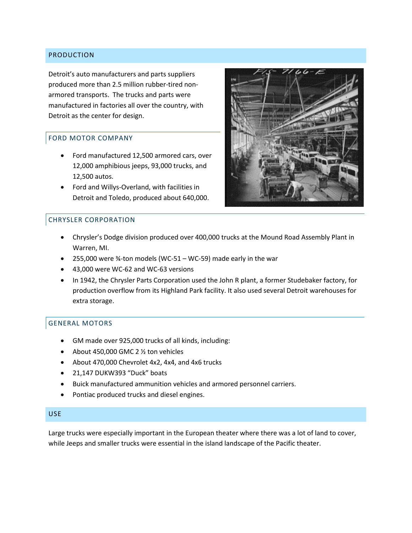#### PRODUCTION

Detroit's auto manufacturers and parts suppliers produced more than 2.5 million rubber-tired nonarmored transports. The trucks and parts were manufactured in factories all over the country, with Detroit as the center for design.

#### FORD MOTOR COMPANY

- Ford manufactured 12,500 armored cars, over 12,000 amphibious jeeps, 93,000 trucks, and 12,500 autos.
- Ford and Willys-Overland, with facilities in Detroit and Toledo, produced about 640,000.



# CHRYSLER CORPORATION

- Chrysler's Dodge division produced over 400,000 trucks at the Mound Road Assembly Plant in Warren, MI.
- $\bullet$  255,000 were 34-ton models (WC-51 WC-59) made early in the war
- 43,000 were WC-62 and WC-63 versions
- In 1942, the Chrysler Parts Corporation used the John R plant, a former Studebaker factory, for production overflow from its Highland Park facility. It also used several Detroit warehouses for extra storage.

# GENERAL MOTORS

- GM made over 925,000 trucks of all kinds, including:
- About 450,000 GMC 2 1/2 ton vehicles
- About 470,000 Chevrolet 4x2, 4x4, and 4x6 trucks
- 21,147 DUKW393 "Duck" boats
- Buick manufactured ammunition vehicles and armored personnel carriers.
- Pontiac produced trucks and diesel engines.

#### USE

Large trucks were especially important in the European theater where there was a lot of land to cover, while Jeeps and smaller trucks were essential in the island landscape of the Pacific theater.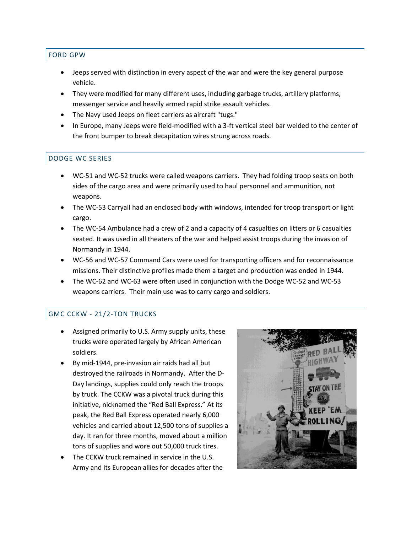# FORD GPW

- Jeeps served with distinction in every aspect of the war and were the key general purpose vehicle.
- They were modified for many different uses, including garbage trucks, artillery platforms, messenger service and heavily armed rapid strike assault vehicles.
- The Navy used Jeeps on fleet carriers as aircraft "tugs."
- In Europe, many Jeeps were field-modified with a 3-ft vertical steel bar welded to the center of the front bumper to break decapitation wires strung across roads.

# DODGE WC SERIES

- WC-51 and WC-52 trucks were called weapons carriers. They had folding troop seats on both sides of the cargo area and were primarily used to haul personnel and ammunition, not weapons.
- The WC-53 Carryall had an enclosed body with windows, intended for troop transport or light cargo.
- The WC-54 Ambulance had a crew of 2 and a capacity of 4 casualties on litters or 6 casualties seated. It was used in all theaters of the war and helped assist troops during the invasion of Normandy in 1944.
- WC-56 and WC-57 Command Cars were used for transporting officers and for reconnaissance missions. Their distinctive profiles made them a target and production was ended in 1944.
- The WC-62 and WC-63 were often used in conjunction with the Dodge WC-52 and WC-53 weapons carriers. Their main use was to carry cargo and soldiers.

# GMC CCKW - 21/2-TON TRUCKS

- Assigned primarily to U.S. Army supply units, these trucks were operated largely by African American soldiers.
- By mid-1944, pre-invasion air raids had all but destroyed the railroads in Normandy. After the D-Day landings, supplies could only reach the troops by truck. The CCKW was a pivotal truck during this initiative, nicknamed the "Red Ball Express." At its peak, the Red Ball Express operated nearly 6,000 vehicles and carried about 12,500 tons of supplies a day. It ran for three months, moved about a million tons of supplies and wore out 50,000 truck tires.
- The CCKW truck remained in service in the U.S. Army and its European allies for decades after the